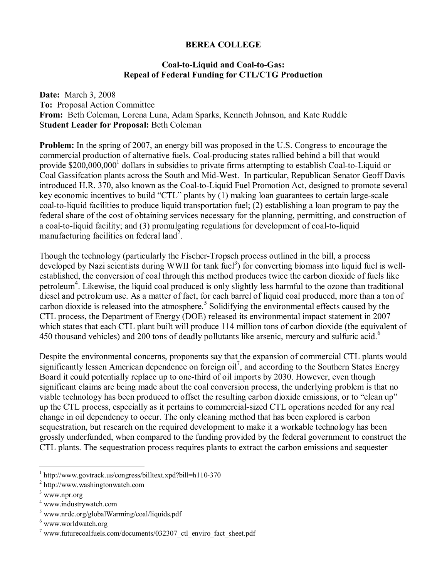## **BEREA COLLEGE**

## **Coal-to-Liquid and Coal-to-Gas: Repeal of Federal Funding for CTL/CTG Production**

**Date:** March 3, 2008 **To:** Proposal Action Committee **From:** Beth Coleman, Lorena Luna, Adam Sparks, Kenneth Johnson, and Kate Ruddle S**tudent Leader for Proposal:** Beth Coleman

**Problem:** In the spring of 2007, an energy bill was proposed in the U.S. Congress to encourage the commercial production of alternative fuels. Coal-producing states rallied behind a bill that would provide \$200,000,000<sup>1</sup> dollars in subsidies to private firms attempting to establish Coal-to-Liquid or Coal Gassifcation plants across the South and Mid-West. In particular, Republican Senator Geoff Davis introduced H.R. 370, also known as the Coal-to-Liquid Fuel Promotion Act, designed to promote several key economic incentives to build "CTL" plants by  $(1)$  making loan guarantees to certain large-scale coal-to-liquid facilities to produce liquid transportation fuel; (2) establishing a loan program to pay the federal share of the cost of obtaining services necessary for the planning, permitting, and construction of a coal-to-liquid facility; and (3) promulgating regulations for development of coal-to-liquid manufacturing facilities on federal land<sup>2</sup>.

Though the technology (particularly the Fischer-Tropsch process outlined in the bill, a process developed by Nazi scientists during WWII for tank fuel<sup>3</sup>) for converting biomass into liquid fuel is wellestablished, the conversion of coal through this method produces twice the carbon dioxide of fuels like petroleum<sup>4</sup>. Likewise, the liquid coal produced is only slightly less harmful to the ozone than traditional diesel and petroleum use. As a matter of fact, for each barrel of liquid coal produced, more than a ton of carbon dioxide is released into the atmosphere.<sup>5</sup> Solidifying the environmental effects caused by the CTL process, the Department of Energy (DOE) released its environmental impact statement in 2007 which states that each CTL plant built will produce 114 million tons of carbon dioxide (the equivalent of 450 thousand vehicles) and 200 tons of deadly pollutants like arsenic, mercury and sulfuric acid.<sup>6</sup>

Despite the environmental concerns, proponents say that the expansion of commercial CTL plants would significantly lessen American dependence on foreign oil<sup>7</sup>, and according to the Southern States Energy Board it could potentially replace up to one-third of oil imports by 2030. However, even though significant claims are being made about the coal conversion process, the underlying problem is that no viable technology has been produced to offset the resulting carbon dioxide emissions, or to "clean up" up the CTL process, especially as it pertains to commercial-sized CTL operations needed for any real change in oil dependency to occur. The only cleaning method that has been explored is carbon sequestration, but research on the required development to make it a workable technology has been grossly underfunded, when compared to the funding provided by the federal government to construct the CTL plants. The sequestration process requires plants to extract the carbon emissions and sequester

 $\overline{a}$ 

<sup>&</sup>lt;sup>1</sup> http://www.govtrack.us/congress/billtext.xpd?bill=h110-370  $\frac{2 \text{ ktr}}{2}$ 

http://www.washingtonwatch.com

<sup>&</sup>lt;sup>3</sup> www.npr.org

<sup>4</sup> www.industrywatch.com

<sup>&</sup>lt;sup>5</sup> www.nrdc.org/globalWarming/coal/liquids.pdf

<sup>6</sup> www.worldwatch.org

<sup>&</sup>lt;sup>7</sup> www.futurecoalfuels.com/documents/032307\_ctl\_enviro\_fact\_sheet.pdf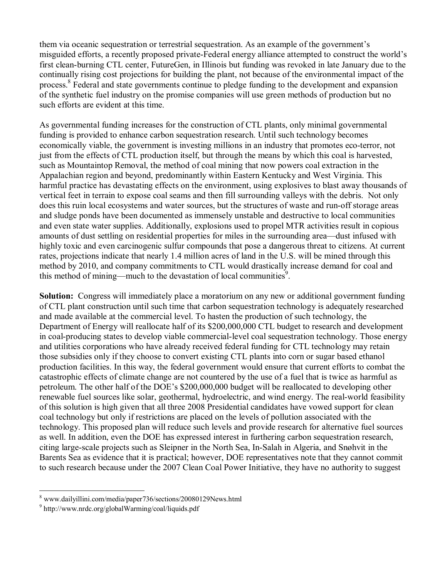them via oceanic sequestration or terrestrial sequestration. As an example of the government's misguided efforts, a recently proposed private-Federal energy alliance attempted to construct the world's first clean-burning CTL center, FutureGen, in Illinois but funding was revoked in late January due to the continually rising cost projections for building the plant, not because of the environmental impact of the process.<sup>8</sup> Federal and state governments continue to pledge funding to the development and expansion of the synthetic fuel industry on the promise companies will use green methods of production but no such efforts are evident at this time.

As governmental funding increases for the construction of CTL plants, only minimal governmental funding is provided to enhance carbon sequestration research. Until such technology becomes economically viable, the government is investing millions in an industry that promotes eco-terror, not just from the effects of CTL production itself, but through the means by which this coal is harvested, such as Mountaintop Removal, the method of coal mining that now powers coal extraction in the Appalachian region and beyond, predominantly within Eastern Kentucky and West Virginia. This harmful practice has devastating effects on the environment, using explosives to blast away thousands of vertical feet in terrain to expose coal seams and then fill surrounding valleys with the debris. Not only does this ruin local ecosystems and water sources, but the structures of waste and run-off storage areas and sludge ponds have been documented as immensely unstable and destructive to local communities and even state water supplies. Additionally, explosions used to propel MTR activities result in copious amounts of dust settling on residential properties for miles in the surrounding area—dust infused with highly toxic and even carcinogenic sulfur compounds that pose a dangerous threat to citizens. At current rates, projections indicate that nearly 1.4 million acres of land in the U.S. will be mined through this method by 2010, and company commitments to CTL would drastically increase demand for coal and this method of mining—much to the devastation of local communities<sup>9</sup>.

**Solution:** Congress will immediately place a moratorium on any new or additional government funding of CTL plant construction until such time that carbon sequestration technology is adequately researched and made available at the commercial level. To hasten the production of such technology, the Department of Energy will reallocate half of its \$200,000,000 CTL budget to research and development in coal-producing states to develop viable commercial-level coal sequestration technology. Those energy and utilities corporations who have already received federal funding for CTL technology may retain those subsidies only if they choose to convert existing CTL plants into corn or sugar based ethanol production facilities. In this way, the federal government would ensure that current efforts to combat the catastrophic effects of climate change are not countered by the use of a fuel that is twice as harmful as petroleum. The other half of the DOE's \$200,000,000 budget will be reallocated to developing other renewable fuel sources like solar, geothermal, hydroelectric, and wind energy. The real-world feasibility of this solution is high given that all three 2008 Presidential candidates have vowed support for clean coal technology but only if restrictions are placed on the levels of pollution associated with the technology. This proposed plan will reduce such levels and provide research for alternative fuel sources as well. In addition, even the DOE has expressed interest in furthering carbon sequestration research, citing large-scale projects such as Sleipner in the North Sea, In-Salah in Algeria, and Snøhvit in the Barents Sea as evidence that it is practical; however, DOE representatives note that they cannot commit to such research because under the 2007 Clean Coal Power Initiative, they have no authority to suggest

 8 www.dailyillini.com/media/paper736/sections/20080129News.html

<sup>&</sup>lt;sup>9</sup> http://www.nrdc.org/globalWarming/coal/liquids.pdf